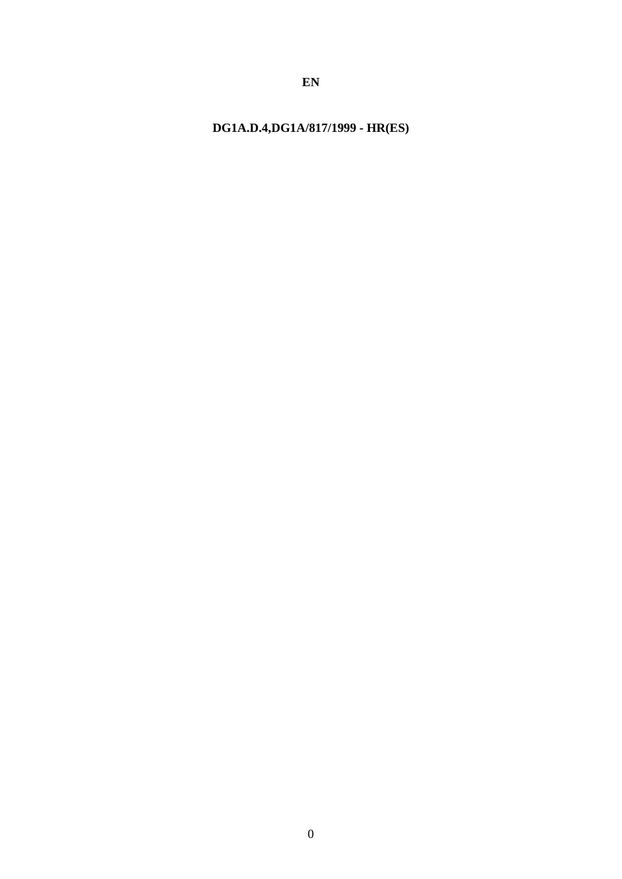DG1A.D.4,DG1A/817/1999 - HR(ES)

 $EN$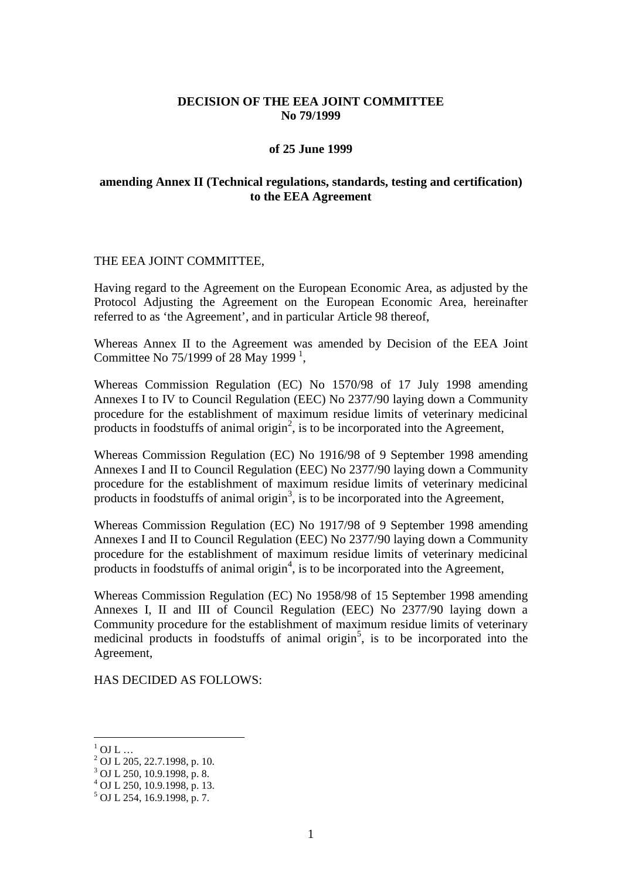## **DECISION OF THE EEA JOINT COMMITTEE No 79/1999**

#### **of 25 June 1999**

## **amending Annex II (Technical regulations, standards, testing and certification) to the EEA Agreement**

#### THE EEA JOINT COMMITTEE,

Having regard to the Agreement on the European Economic Area, as adjusted by the Protocol Adjusting the Agreement on the European Economic Area, hereinafter referred to as 'the Agreement', and in particular Article 98 thereof,

Whereas Annex II to the Agreement was amended by Decision of the EEA Joint Committee No 75/[1](#page-1-0)999 of 28 May 1999 $<sup>1</sup>$ ,</sup>

Whereas Commission Regulation (EC) No 1570/98 of 17 July 1998 amending Annexes I to IV to Council Regulation (EEC) No 2377/90 laying down a Community procedure for the establishment of maximum residue limits of veterinary medicinal products in foodstuffs of animal origin<sup>2</sup>, is to be incorporated into the Agreement,

Whereas Commission Regulation (EC) No 1916/98 of 9 September 1998 amending Annexes I and II to Council Regulation (EEC) No 2377/90 laying down a Community procedure for the establishment of maximum residue limits of veterinary medicinal products in foodstuffs of animal origin<sup>3</sup>, is to be incorporated into the Agreement,

Whereas Commission Regulation (EC) No 1917/98 of 9 September 1998 amending Annexes I and II to Council Regulation (EEC) No 2377/90 laying down a Community procedure for the establishment of maximum residue limits of veterinary medicinal products in foodstuffs of animal origin<sup>4</sup>, is to be incorporated into the Agreement,

Whereas Commission Regulation (EC) No 1958/98 of 15 September 1998 amending Annexes I, II and III of Council Regulation (EEC) No 2377/90 laying down a Community procedure for the establishment of maximum residue limits of veterinary medicinal products in foodstuffs of animal origin<sup>5</sup>, is to be incorporated into the Agreement,

HAS DECIDED AS FOLLOWS:

 $1 \over 2$  OJ L ...<br> $2 \over 2$  OJ L 205, 22.7.1998, p. 10.

<sup>3</sup> OJ L 250, 10.9.1998, p. 8.

<sup>4</sup> OJ L 250, 10.9.1998, p. 13.

<span id="page-1-0"></span><sup>5</sup> OJ L 254, 16.9.1998, p. 7.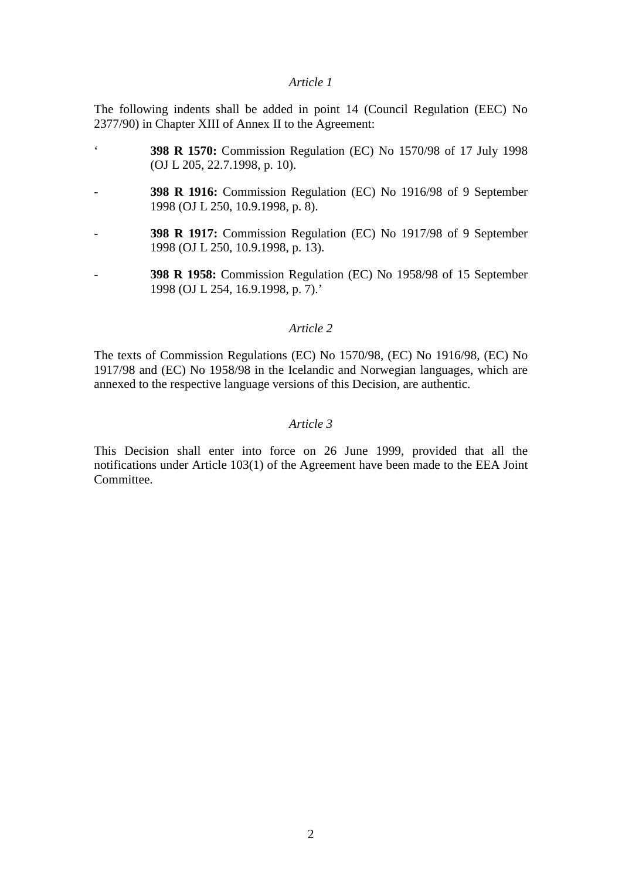### *Article 1*

The following indents shall be added in point 14 (Council Regulation (EEC) No 2377/90) in Chapter XIII of Annex II to the Agreement:

- ' **398 R 1570:** Commission Regulation (EC) No 1570/98 of 17 July 1998 (OJ L 205, 22.7.1998, p. 10).
- **398 R 1916:** Commission Regulation (EC) No 1916/98 of 9 September 1998 (OJ L 250, 10.9.1998, p. 8).
- **398 R 1917:** Commission Regulation (EC) No 1917/98 of 9 September 1998 (OJ L 250, 10.9.1998, p. 13).
- **398 R 1958:** Commission Regulation (EC) No 1958/98 of 15 September 1998 (OJ L 254, 16.9.1998, p. 7).'

# *Article 2*

The texts of Commission Regulations (EC) No 1570/98, (EC) No 1916/98, (EC) No 1917/98 and (EC) No 1958/98 in the Icelandic and Norwegian languages, which are annexed to the respective language versions of this Decision, are authentic.

## *Article 3*

This Decision shall enter into force on 26 June 1999, provided that all the notifications under Article 103(1) of the Agreement have been made to the EEA Joint Committee.